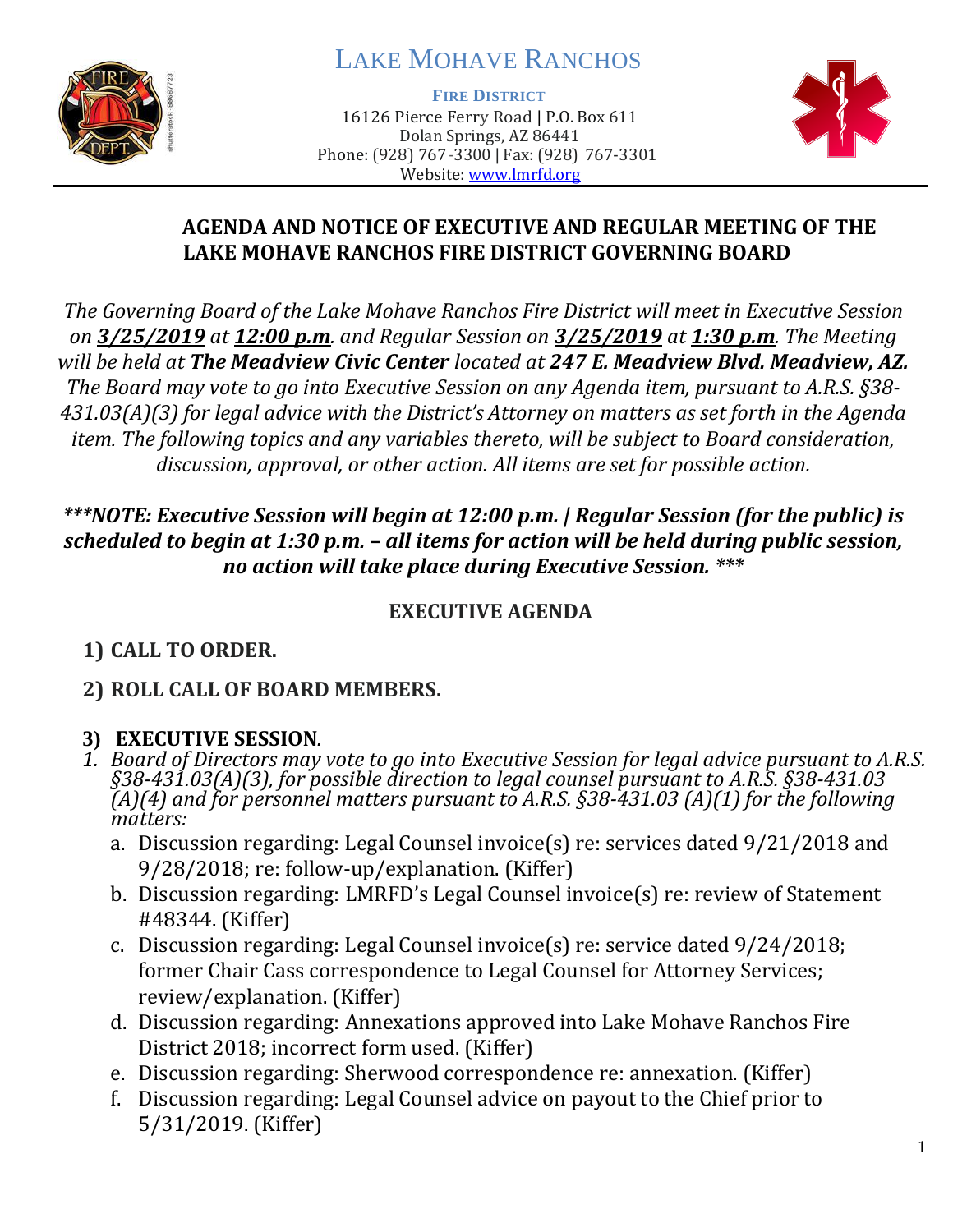

# LAKE MOHAVE RANCHOS

**FIRE DISTRICT**

16126 Pierce Ferry Road | P.O. Box 611 Dolan Springs, AZ 86441 Phone: (928) 767-3300 | Fax: (928) 767-3301 Website: [www.lmrfd.org](http://www.lmrfd.org/)



#### **AGENDA AND NOTICE OF EXECUTIVE AND REGULAR MEETING OF THE LAKE MOHAVE RANCHOS FIRE DISTRICT GOVERNING BOARD**

*The Governing Board of the Lake Mohave Ranchos Fire District will meet in Executive Session on 3/25/2019 at 12:00 p.m. and Regular Session on 3/25/2019 at 1:30 p.m. The Meeting will be held at The Meadview Civic Center located at 247 E. Meadview Blvd. Meadview, AZ. The Board may vote to go into Executive Session on any Agenda item, pursuant to A.R.S. §38- 431.03(A)(3) for legal advice with the District's Attorney on matters as set forth in the Agenda item. The following topics and any variables thereto, will be subject to Board consideration, discussion, approval, or other action. All items are set for possible action.*

## *\*\*\*NOTE: Executive Session will begin at 12:00 p.m. | Regular Session (for the public) is scheduled to begin at 1:30 p.m. – all items for action will be held during public session, no action will take place during Executive Session. \*\*\**

## **EXECUTIVE AGENDA**

# **1) CALL TO ORDER.**

# **2) ROLL CALL OF BOARD MEMBERS.**

# **3) EXECUTIVE SESSION***.*

- *1. Board of Directors may vote to go into Executive Session for legal advice pursuant to A.R.S. §38-431.03(A)(3), for possible direction to legal counsel pursuant to A.R.S. §38-431.03 (A)(4) and for personnel matters pursuant to A.R.S. §38-431.03 (A)(1) for the following matters:*
	- a. Discussion regarding: Legal Counsel invoice(s) re: services dated 9/21/2018 and 9/28/2018; re: follow-up/explanation. (Kiffer)
	- b. Discussion regarding: LMRFD's Legal Counsel invoice(s) re: review of Statement #48344. (Kiffer)
	- c. Discussion regarding: Legal Counsel invoice(s) re: service dated 9/24/2018; former Chair Cass correspondence to Legal Counsel for Attorney Services; review/explanation. (Kiffer)
	- d. Discussion regarding: Annexations approved into Lake Mohave Ranchos Fire District 2018; incorrect form used. (Kiffer)
	- e. Discussion regarding: Sherwood correspondence re: annexation. (Kiffer)
	- f. Discussion regarding: Legal Counsel advice on payout to the Chief prior to 5/31/2019. (Kiffer)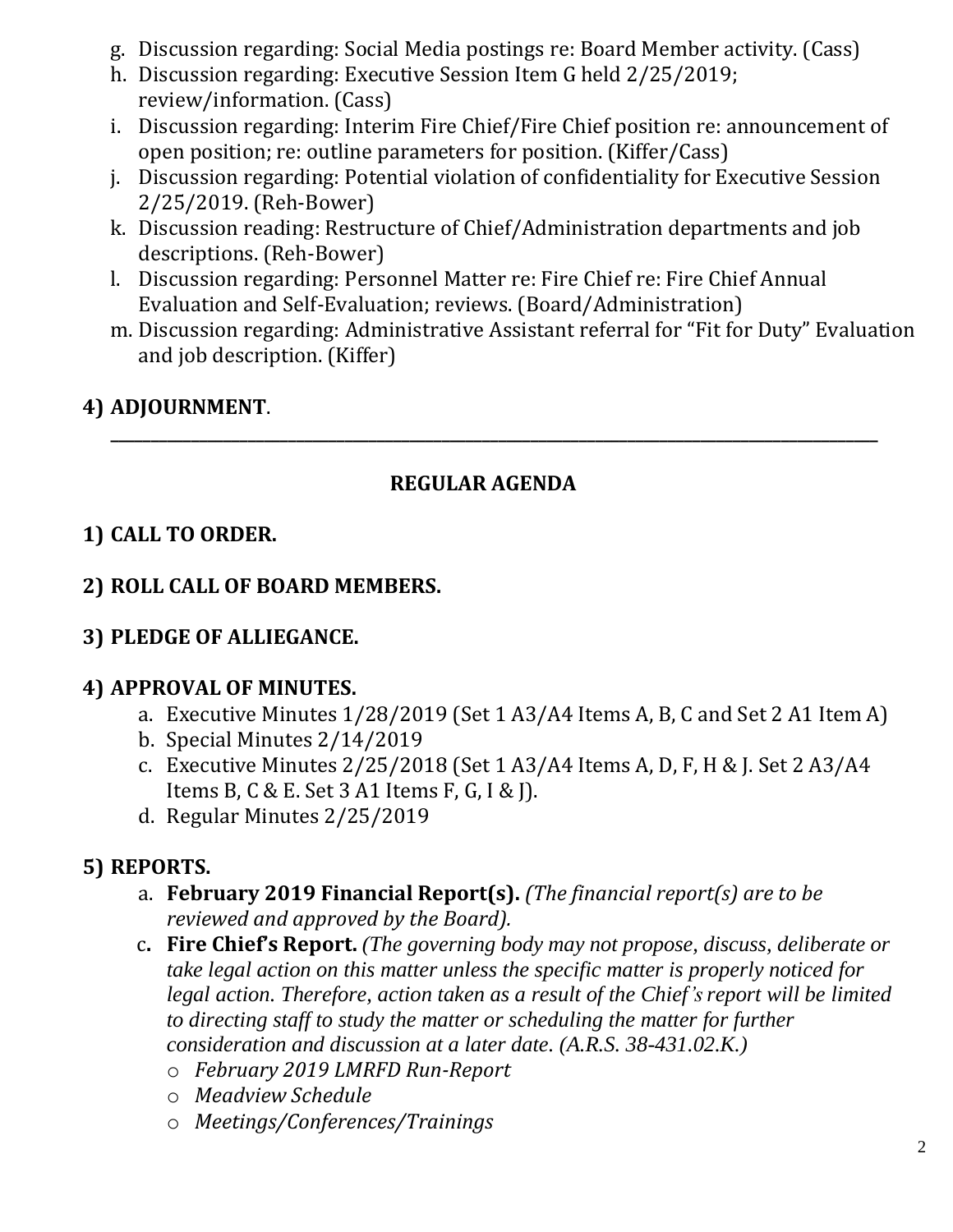- g. Discussion regarding: Social Media postings re: Board Member activity. (Cass)
- h. Discussion regarding: Executive Session Item G held 2/25/2019; review/information. (Cass)
- i. Discussion regarding: Interim Fire Chief/Fire Chief position re: announcement of open position; re: outline parameters for position. (Kiffer/Cass)
- j. Discussion regarding: Potential violation of confidentiality for Executive Session 2/25/2019. (Reh-Bower)
- k. Discussion reading: Restructure of Chief/Administration departments and job descriptions. (Reh-Bower)
- l. Discussion regarding: Personnel Matter re: Fire Chief re: Fire Chief Annual Evaluation and Self-Evaluation; reviews. (Board/Administration)
- m. Discussion regarding: Administrative Assistant referral for "Fit for Duty" Evaluation and job description. (Kiffer)

## **4) ADJOURNMENT**.

#### **REGULAR AGENDA**

**\_\_\_\_\_\_\_\_\_\_\_\_\_\_\_\_\_\_\_\_\_\_\_\_\_\_\_\_\_\_\_\_\_\_\_\_\_\_\_\_\_\_\_\_\_\_\_\_\_\_\_\_\_\_\_\_\_\_\_\_\_\_\_\_\_\_\_\_\_\_\_\_\_\_\_\_\_\_\_\_\_\_\_\_\_\_\_\_\_\_\_\_\_\_\_**

## **1) CALL TO ORDER.**

#### **2) ROLL CALL OF BOARD MEMBERS.**

#### **3) PLEDGE OF ALLIEGANCE.**

#### **4) APPROVAL OF MINUTES.**

- a. Executive Minutes 1/28/2019 (Set 1 A3/A4 Items A, B, C and Set 2 A1 Item A)
- b. Special Minutes 2/14/2019
- c. Executive Minutes 2/25/2018 (Set 1 A3/A4 Items A, D, F, H & J. Set 2 A3/A4 Items B, C & E. Set 3 A1 Items F, G, I & J).
- d. Regular Minutes 2/25/2019

#### **5) REPORTS.**

- a. **February 2019 Financial Report(s).** *(The financial report(s) are to be reviewed and approved by the Board).*
- c**. Fire Chief's Report.** *(The governing body may not propose, discuss, deliberate or take legal action on this matter unless the specific matter is properly noticed for legal action. Therefore, action taken as a result of the Chief's report will be limited to directing staff to study the matter or scheduling the matter for further consideration and discussion at a later date. (A.R.S. 38-431.02.K.)*
	- o *February 2019 LMRFD Run-Report*
	- o *Meadview Schedule*
	- o *Meetings/Conferences/Trainings*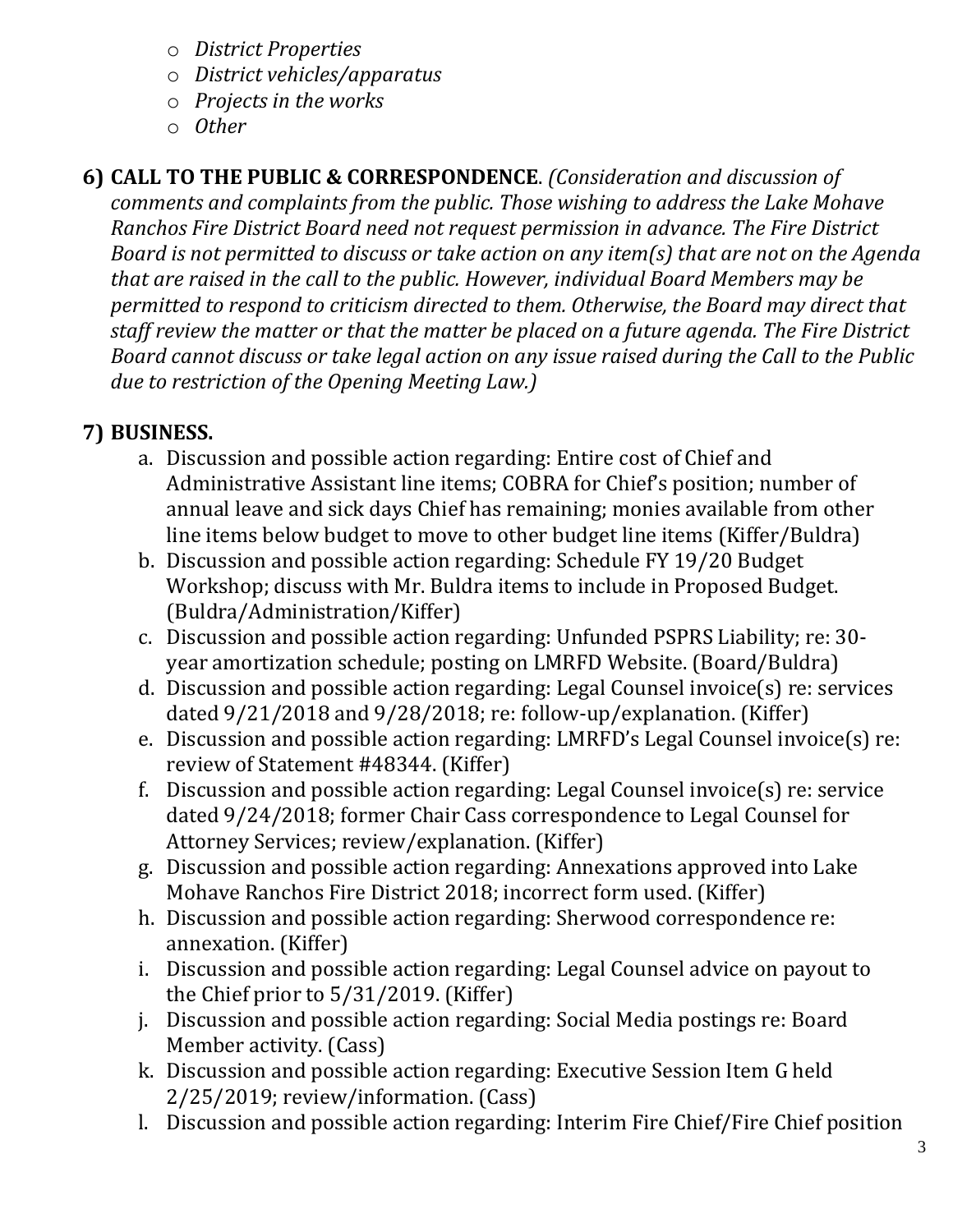- o *District Properties*
- o *District vehicles/apparatus*
- o *Projects in the works*
- o *Other*

#### **6) CALL TO THE PUBLIC & CORRESPONDENCE**. *(Consideration and discussion of comments and complaints from the public. Those wishing to address the Lake Mohave Ranchos Fire District Board need not request permission in advance. The Fire District Board is not permitted to discuss or take action on any item(s) that are not on the Agenda that are raised in the call to the public. However, individual Board Members may be permitted to respond to criticism directed to them. Otherwise, the Board may direct that staff review the matter or that the matter be placed on a future agenda. The Fire District Board cannot discuss or take legal action on any issue raised during the Call to the Public due to restriction of the Opening Meeting Law.)*

# **7) BUSINESS.**

- a. Discussion and possible action regarding: Entire cost of Chief and Administrative Assistant line items; COBRA for Chief's position; number of annual leave and sick days Chief has remaining; monies available from other line items below budget to move to other budget line items (Kiffer/Buldra)
- b. Discussion and possible action regarding: Schedule FY 19/20 Budget Workshop; discuss with Mr. Buldra items to include in Proposed Budget. (Buldra/Administration/Kiffer)
- c. Discussion and possible action regarding: Unfunded PSPRS Liability; re: 30 year amortization schedule; posting on LMRFD Website. (Board/Buldra)
- d. Discussion and possible action regarding: Legal Counsel invoice(s) re: services dated 9/21/2018 and 9/28/2018; re: follow-up/explanation. (Kiffer)
- e. Discussion and possible action regarding: LMRFD's Legal Counsel invoice(s) re: review of Statement #48344. (Kiffer)
- f. Discussion and possible action regarding: Legal Counsel invoice(s) re: service dated 9/24/2018; former Chair Cass correspondence to Legal Counsel for Attorney Services; review/explanation. (Kiffer)
- g. Discussion and possible action regarding: Annexations approved into Lake Mohave Ranchos Fire District 2018; incorrect form used. (Kiffer)
- h. Discussion and possible action regarding: Sherwood correspondence re: annexation. (Kiffer)
- i. Discussion and possible action regarding: Legal Counsel advice on payout to the Chief prior to 5/31/2019. (Kiffer)
- j. Discussion and possible action regarding: Social Media postings re: Board Member activity. (Cass)
- k. Discussion and possible action regarding: Executive Session Item G held 2/25/2019; review/information. (Cass)
- l. Discussion and possible action regarding: Interim Fire Chief/Fire Chief position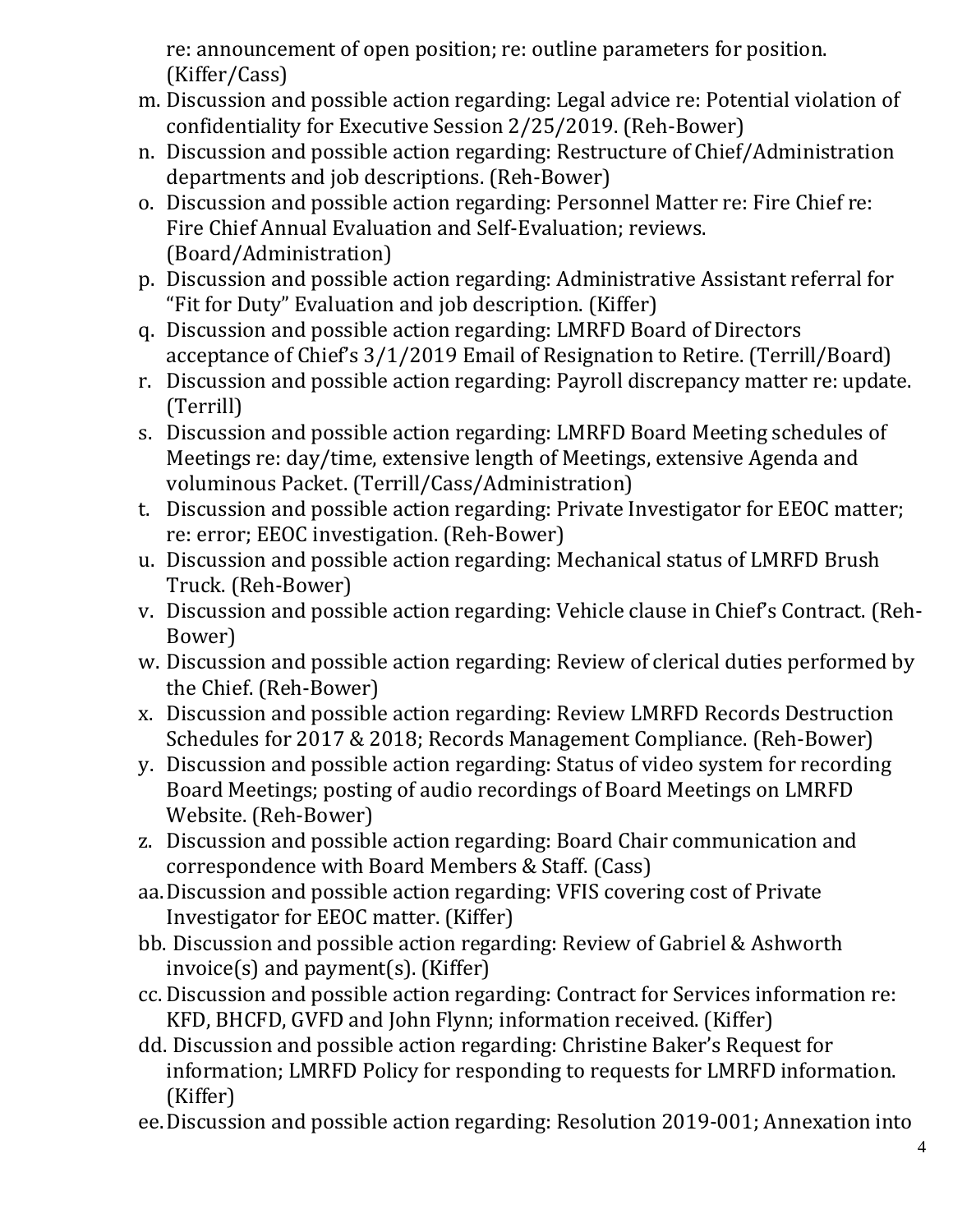re: announcement of open position; re: outline parameters for position. (Kiffer/Cass)

- m. Discussion and possible action regarding: Legal advice re: Potential violation of confidentiality for Executive Session 2/25/2019. (Reh-Bower)
- n. Discussion and possible action regarding: Restructure of Chief/Administration departments and job descriptions. (Reh-Bower)
- o. Discussion and possible action regarding: Personnel Matter re: Fire Chief re: Fire Chief Annual Evaluation and Self-Evaluation; reviews. (Board/Administration)
- p. Discussion and possible action regarding: Administrative Assistant referral for "Fit for Duty" Evaluation and job description. (Kiffer)
- q. Discussion and possible action regarding: LMRFD Board of Directors acceptance of Chief's 3/1/2019 Email of Resignation to Retire. (Terrill/Board)
- r. Discussion and possible action regarding: Payroll discrepancy matter re: update. (Terrill)
- s. Discussion and possible action regarding: LMRFD Board Meeting schedules of Meetings re: day/time, extensive length of Meetings, extensive Agenda and voluminous Packet. (Terrill/Cass/Administration)
- t. Discussion and possible action regarding: Private Investigator for EEOC matter; re: error; EEOC investigation. (Reh-Bower)
- u. Discussion and possible action regarding: Mechanical status of LMRFD Brush Truck. (Reh-Bower)
- v. Discussion and possible action regarding: Vehicle clause in Chief's Contract. (Reh-Bower)
- w. Discussion and possible action regarding: Review of clerical duties performed by the Chief. (Reh-Bower)
- x. Discussion and possible action regarding: Review LMRFD Records Destruction Schedules for 2017 & 2018; Records Management Compliance. (Reh-Bower)
- y. Discussion and possible action regarding: Status of video system for recording Board Meetings; posting of audio recordings of Board Meetings on LMRFD Website. (Reh-Bower)
- z. Discussion and possible action regarding: Board Chair communication and correspondence with Board Members & Staff. (Cass)
- aa.Discussion and possible action regarding: VFIS covering cost of Private Investigator for EEOC matter. (Kiffer)
- bb. Discussion and possible action regarding: Review of Gabriel & Ashworth invoice(s) and payment(s). (Kiffer)
- cc. Discussion and possible action regarding: Contract for Services information re: KFD, BHCFD, GVFD and John Flynn; information received. (Kiffer)
- dd. Discussion and possible action regarding: Christine Baker's Request for information; LMRFD Policy for responding to requests for LMRFD information. (Kiffer)
- ee.Discussion and possible action regarding: Resolution 2019-001; Annexation into